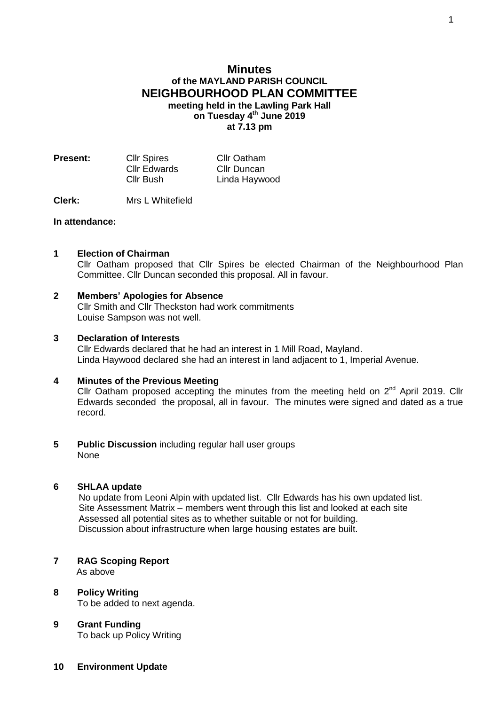# **Minutes of the MAYLAND PARISH COUNCIL NEIGHBOURHOOD PLAN COMMITTEE meeting held in the Lawling Park Hall**

**on Tuesday 4 th June 2019 at 7.13 pm**

| <b>Present:</b> | <b>Cllr Spires</b> | <b>Cllr Oatham</b> |
|-----------------|--------------------|--------------------|
|                 | Cllr Edwards       | Cllr Duncan        |
|                 | Cllr Bush          | Linda Haywood      |

**Clerk:** Mrs L Whitefield

### **In attendance:**

- **1 Election of Chairman** Cllr Oatham proposed that Cllr Spires be elected Chairman of the Neighbourhood Plan Committee. Cllr Duncan seconded this proposal. All in favour.
- **2 Members' Apologies for Absence** Cllr Smith and Cllr Theckston had work commitments Louise Sampson was not well.

## **3 Declaration of Interests**

Cllr Edwards declared that he had an interest in 1 Mill Road, Mayland. Linda Haywood declared she had an interest in land adjacent to 1, Imperial Avenue.

#### **4 Minutes of the Previous Meeting**

Cllr Oatham proposed accepting the minutes from the meeting held on  $2^{nd}$  April 2019. Cllr Edwards seconded the proposal, all in favour. The minutes were signed and dated as a true record.

**5 Public Discussion** including regular hall user groups None

## **6 SHLAA update**

 No update from Leoni Alpin with updated list. Cllr Edwards has his own updated list. Site Assessment Matrix – members went through this list and looked at each site Assessed all potential sites as to whether suitable or not for building. Discussion about infrastructure when large housing estates are built.

- **7 RAG Scoping Report** As above
- **8 Policy Writing** To be added to next agenda.
- **9 Grant Funding** To back up Policy Writing
- **10 Environment Update**